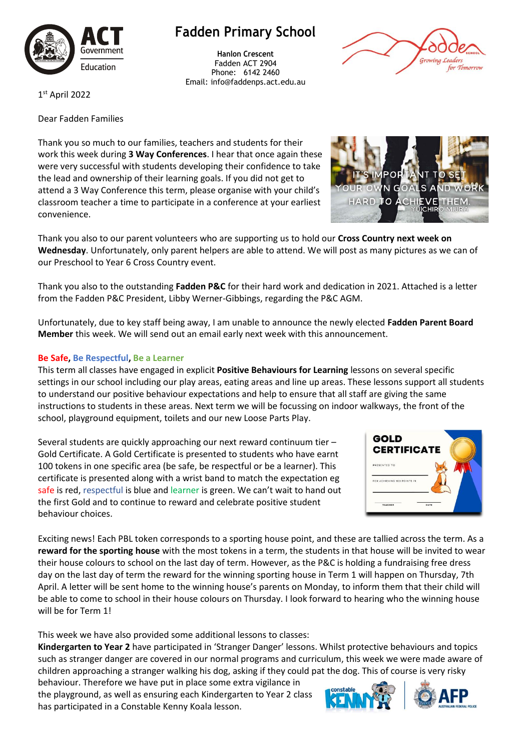

## **Fadden Primary School**

**Hanlon Crescent** Fadden ACT 2904 Phone: 6142 2460 Email: info@faddenps.act.edu.au



**POF** 'N TΟ

**HARD** 

1 st April 2022

Dear Fadden Families

Thank you so much to our families, teachers and students for their work this week during **3 Way Conferences**. I hear that once again these were very successful with students developing their confidence to take the lead and ownership of their learning goals. If you did not get to attend a 3 Way Conference this term, please organise with your child's classroom teacher a time to participate in a conference at your earliest convenience.

Thank you also to our parent volunteers who are supporting us to hold our **Cross Country next week on Wednesday**. Unfortunately, only parent helpers are able to attend. We will post as many pictures as we can of our Preschool to Year 6 Cross Country event.

Thank you also to the outstanding **Fadden P&C** for their hard work and dedication in 2021. Attached is a letter from the Fadden P&C President, Libby Werner-Gibbings, regarding the P&C AGM.

Unfortunately, due to key staff being away, I am unable to announce the newly elected **Fadden Parent Board Member** this week. We will send out an email early next week with this announcement.

## **Be Safe, Be Respectful, Be a Learner**

This term all classes have engaged in explicit **Positive Behaviours for Learning** lessons on several specific settings in our school including our play areas, eating areas and line up areas. These lessons support all students to understand our positive behaviour expectations and help to ensure that all staff are giving the same instructions to students in these areas. Next term we will be focussing on indoor walkways, the front of the school, playground equipment, toilets and our new Loose Parts Play.

Several students are quickly approaching our next reward continuum tier – Gold Certificate. A Gold Certificate is presented to students who have earnt 100 tokens in one specific area (be safe, be respectful or be a learner). This certificate is presented along with a wrist band to match the expectation eg safe is red, respectful is blue and learner is green. We can't wait to hand out the first Gold and to continue to reward and celebrate positive student behaviour choices.



Exciting news! Each PBL token corresponds to a sporting house point, and these are tallied across the term. As a **reward for the sporting house** with the most tokens in a term, the students in that house will be invited to wear their house colours to school on the last day of term. However, as the P&C is holding a fundraising free dress day on the last day of term the reward for the winning sporting house in Term 1 will happen on Thursday, 7th April. A letter will be sent home to the winning house's parents on Monday, to inform them that their child will be able to come to school in their house colours on Thursday. I look forward to hearing who the winning house will be for Term 1!

This week we have also provided some additional lessons to classes:

**Kindergarten to Year 2** have participated in 'Stranger Danger' lessons. Whilst protective behaviours and topics such as stranger danger are covered in our normal programs and curriculum, this week we were made aware of children approaching a stranger walking his dog, asking if they could pat the dog. This of course is very risky

behaviour. Therefore we have put in place some extra vigilance in the playground, as well as ensuring each Kindergarten to Year 2 class has participated in a Constable Kenny Koala lesson.